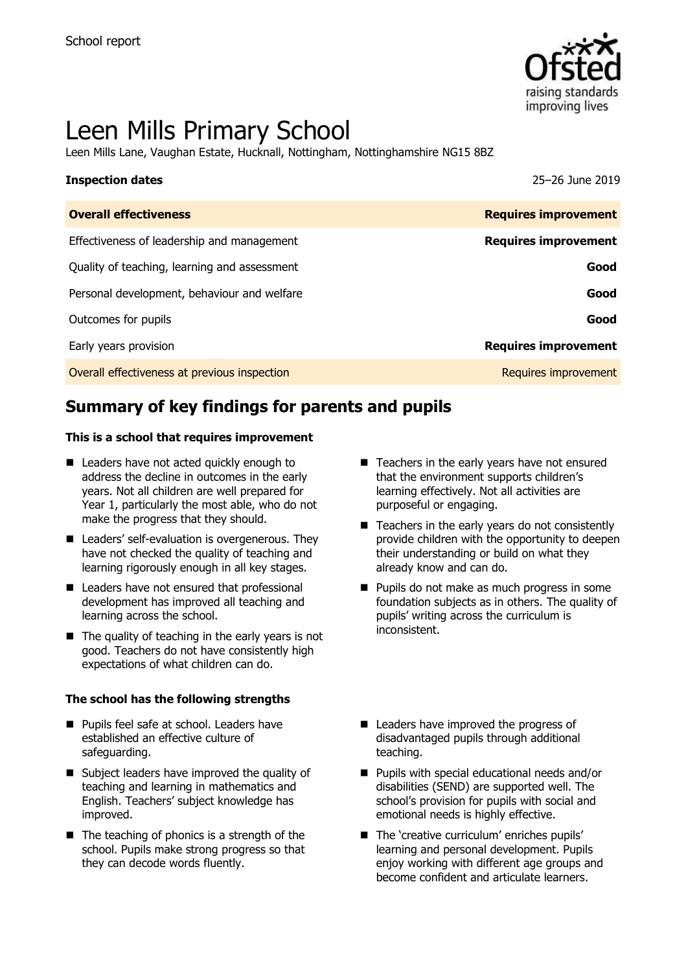

# Leen Mills Primary School

Leen Mills Lane, Vaughan Estate, Hucknall, Nottingham, Nottinghamshire NG15 8BZ

| <b>Inspection dates</b>                    | 25-26 June 2019             |
|--------------------------------------------|-----------------------------|
| <b>Overall effectiveness</b>               | <b>Requires improvement</b> |
| Effectiveness of leadership and management | <b>Requires improvement</b> |

Quality of teaching, learning and assessment **Good**

| Personal development, behaviour and welfare  | Good                        |
|----------------------------------------------|-----------------------------|
| Outcomes for pupils                          | Good                        |
| Early years provision                        | <b>Requires improvement</b> |
| Overall effectiveness at previous inspection | <b>Requires improvement</b> |
|                                              |                             |

# **Summary of key findings for parents and pupils**

#### **This is a school that requires improvement**

- Leaders have not acted quickly enough to address the decline in outcomes in the early years. Not all children are well prepared for Year 1, particularly the most able, who do not make the progress that they should.
- Leaders' self-evaluation is overgenerous. They have not checked the quality of teaching and learning rigorously enough in all key stages.
- Leaders have not ensured that professional development has improved all teaching and learning across the school.
- $\blacksquare$  The quality of teaching in the early years is not good. Teachers do not have consistently high expectations of what children can do.

#### **The school has the following strengths**

- **Pupils feel safe at school. Leaders have** established an effective culture of safeguarding.
- Subject leaders have improved the quality of teaching and learning in mathematics and English. Teachers' subject knowledge has improved.
- $\blacksquare$  The teaching of phonics is a strength of the school. Pupils make strong progress so that they can decode words fluently.
- $\blacksquare$  Teachers in the early years have not ensured that the environment supports children's learning effectively. Not all activities are purposeful or engaging.
- Teachers in the early years do not consistently provide children with the opportunity to deepen their understanding or build on what they already know and can do.
- **Pupils do not make as much progress in some** foundation subjects as in others. The quality of pupils' writing across the curriculum is inconsistent.
- Leaders have improved the progress of disadvantaged pupils through additional teaching.
- **Pupils with special educational needs and/or** disabilities (SEND) are supported well. The school's provision for pupils with social and emotional needs is highly effective.
- The 'creative curriculum' enriches pupils' learning and personal development. Pupils enjoy working with different age groups and become confident and articulate learners.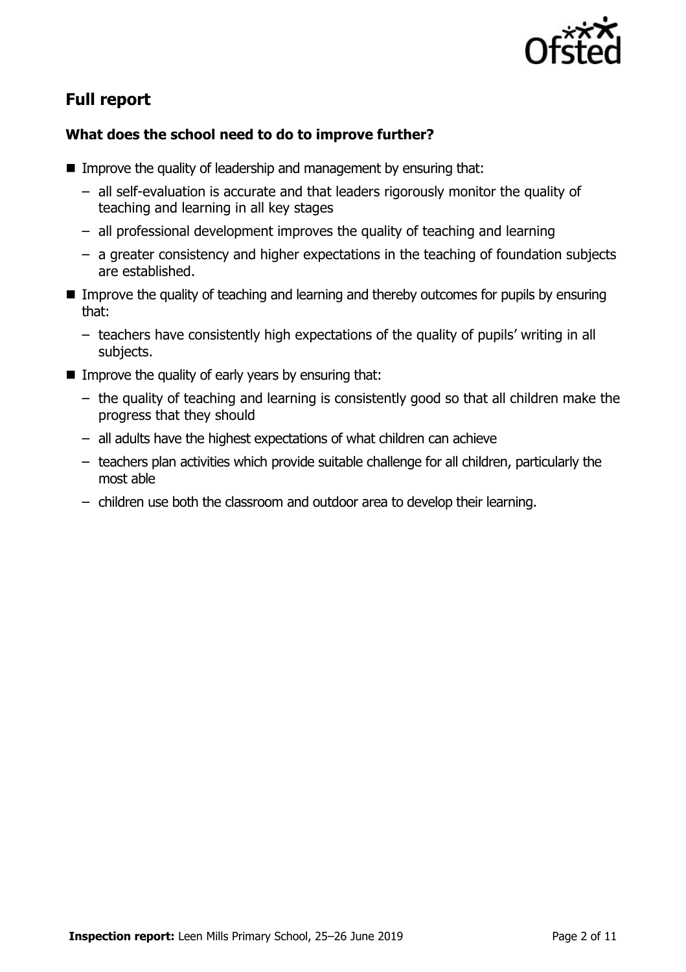

# **Full report**

### **What does the school need to do to improve further?**

- **IMPROVE the quality of leadership and management by ensuring that:** 
	- all self-evaluation is accurate and that leaders rigorously monitor the quality of teaching and learning in all key stages
	- all professional development improves the quality of teaching and learning
	- a greater consistency and higher expectations in the teaching of foundation subjects are established.
- Improve the quality of teaching and learning and thereby outcomes for pupils by ensuring that:
	- teachers have consistently high expectations of the quality of pupils' writing in all subjects.
- Improve the quality of early years by ensuring that:
	- the quality of teaching and learning is consistently good so that all children make the progress that they should
	- all adults have the highest expectations of what children can achieve
	- teachers plan activities which provide suitable challenge for all children, particularly the most able
	- children use both the classroom and outdoor area to develop their learning.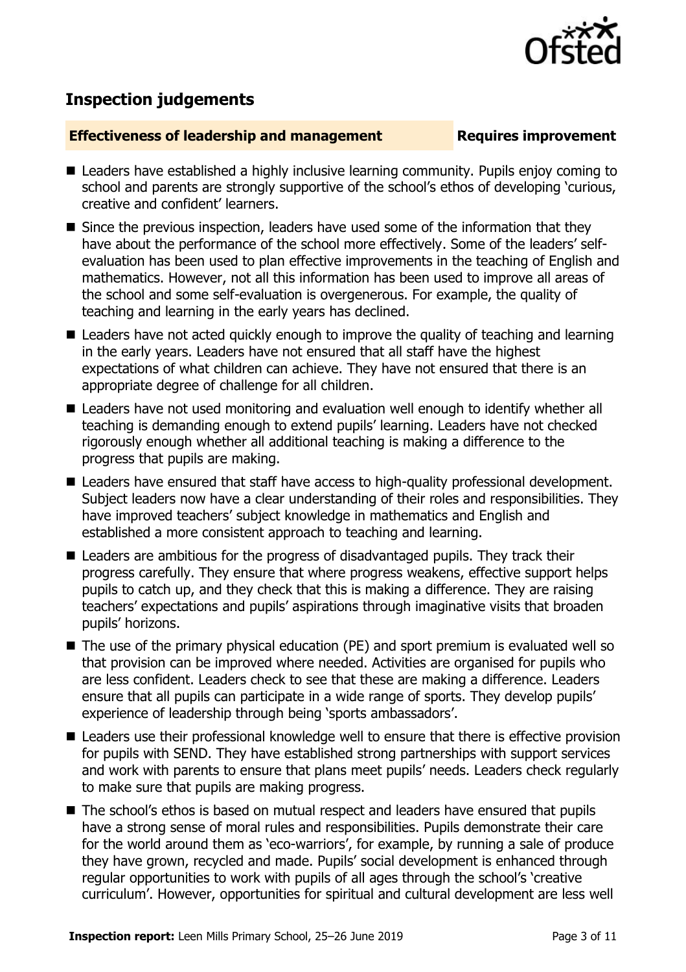

# **Inspection judgements**

#### **Effectiveness of leadership and management Requires improvement**

- Leaders have established a highly inclusive learning community. Pupils enjoy coming to school and parents are strongly supportive of the school's ethos of developing 'curious, creative and confident' learners.
- Since the previous inspection, leaders have used some of the information that they have about the performance of the school more effectively. Some of the leaders' selfevaluation has been used to plan effective improvements in the teaching of English and mathematics. However, not all this information has been used to improve all areas of the school and some self-evaluation is overgenerous. For example, the quality of teaching and learning in the early years has declined.
- Leaders have not acted quickly enough to improve the quality of teaching and learning in the early years. Leaders have not ensured that all staff have the highest expectations of what children can achieve. They have not ensured that there is an appropriate degree of challenge for all children.
- Leaders have not used monitoring and evaluation well enough to identify whether all teaching is demanding enough to extend pupils' learning. Leaders have not checked rigorously enough whether all additional teaching is making a difference to the progress that pupils are making.
- Leaders have ensured that staff have access to high-quality professional development. Subject leaders now have a clear understanding of their roles and responsibilities. They have improved teachers' subject knowledge in mathematics and English and established a more consistent approach to teaching and learning.
- Leaders are ambitious for the progress of disadvantaged pupils. They track their progress carefully. They ensure that where progress weakens, effective support helps pupils to catch up, and they check that this is making a difference. They are raising teachers' expectations and pupils' aspirations through imaginative visits that broaden pupils' horizons.
- The use of the primary physical education (PE) and sport premium is evaluated well so that provision can be improved where needed. Activities are organised for pupils who are less confident. Leaders check to see that these are making a difference. Leaders ensure that all pupils can participate in a wide range of sports. They develop pupils' experience of leadership through being 'sports ambassadors'.
- Leaders use their professional knowledge well to ensure that there is effective provision for pupils with SEND. They have established strong partnerships with support services and work with parents to ensure that plans meet pupils' needs. Leaders check regularly to make sure that pupils are making progress.
- The school's ethos is based on mutual respect and leaders have ensured that pupils have a strong sense of moral rules and responsibilities. Pupils demonstrate their care for the world around them as 'eco-warriors', for example, by running a sale of produce they have grown, recycled and made. Pupils' social development is enhanced through regular opportunities to work with pupils of all ages through the school's 'creative curriculum'. However, opportunities for spiritual and cultural development are less well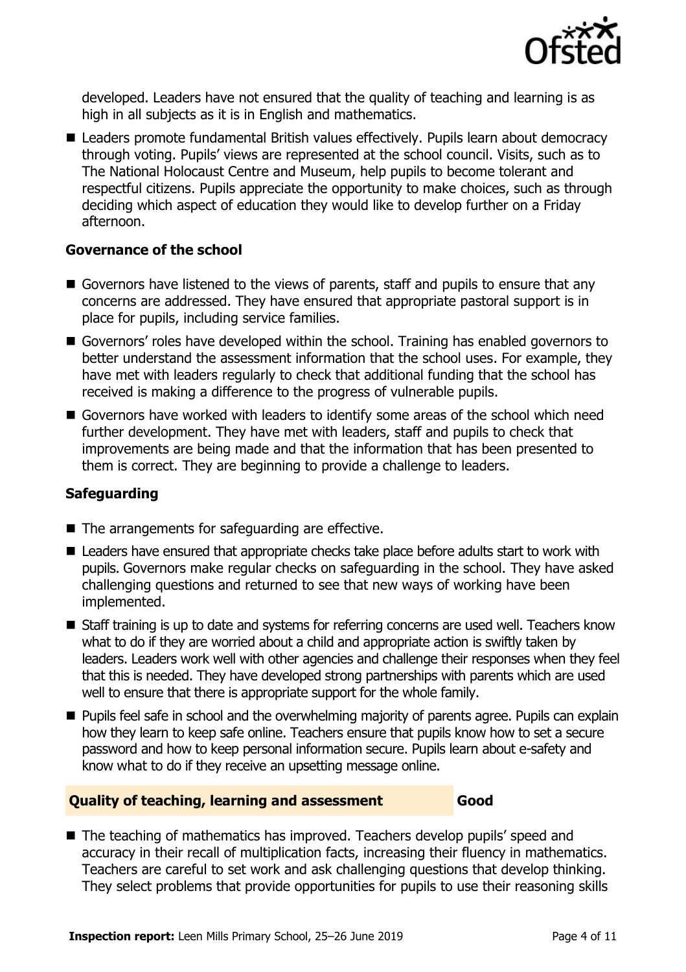

developed. Leaders have not ensured that the quality of teaching and learning is as high in all subjects as it is in English and mathematics.

■ Leaders promote fundamental British values effectively. Pupils learn about democracy through voting. Pupils' views are represented at the school council. Visits, such as to The National Holocaust Centre and Museum, help pupils to become tolerant and respectful citizens. Pupils appreciate the opportunity to make choices, such as through deciding which aspect of education they would like to develop further on a Friday afternoon.

### **Governance of the school**

- Governors have listened to the views of parents, staff and pupils to ensure that any concerns are addressed. They have ensured that appropriate pastoral support is in place for pupils, including service families.
- Governors' roles have developed within the school. Training has enabled governors to better understand the assessment information that the school uses. For example, they have met with leaders regularly to check that additional funding that the school has received is making a difference to the progress of vulnerable pupils.
- Governors have worked with leaders to identify some areas of the school which need further development. They have met with leaders, staff and pupils to check that improvements are being made and that the information that has been presented to them is correct. They are beginning to provide a challenge to leaders.

### **Safeguarding**

- The arrangements for safeguarding are effective.
- Leaders have ensured that appropriate checks take place before adults start to work with pupils. Governors make regular checks on safeguarding in the school. They have asked challenging questions and returned to see that new ways of working have been implemented.
- Staff training is up to date and systems for referring concerns are used well. Teachers know what to do if they are worried about a child and appropriate action is swiftly taken by leaders. Leaders work well with other agencies and challenge their responses when they feel that this is needed. They have developed strong partnerships with parents which are used well to ensure that there is appropriate support for the whole family.
- **Pupils feel safe in school and the overwhelming majority of parents agree. Pupils can explain** how they learn to keep safe online. Teachers ensure that pupils know how to set a secure password and how to keep personal information secure. Pupils learn about e-safety and know what to do if they receive an upsetting message online.

#### **Quality of teaching, learning and assessment Good**

■ The teaching of mathematics has improved. Teachers develop pupils' speed and accuracy in their recall of multiplication facts, increasing their fluency in mathematics. Teachers are careful to set work and ask challenging questions that develop thinking. They select problems that provide opportunities for pupils to use their reasoning skills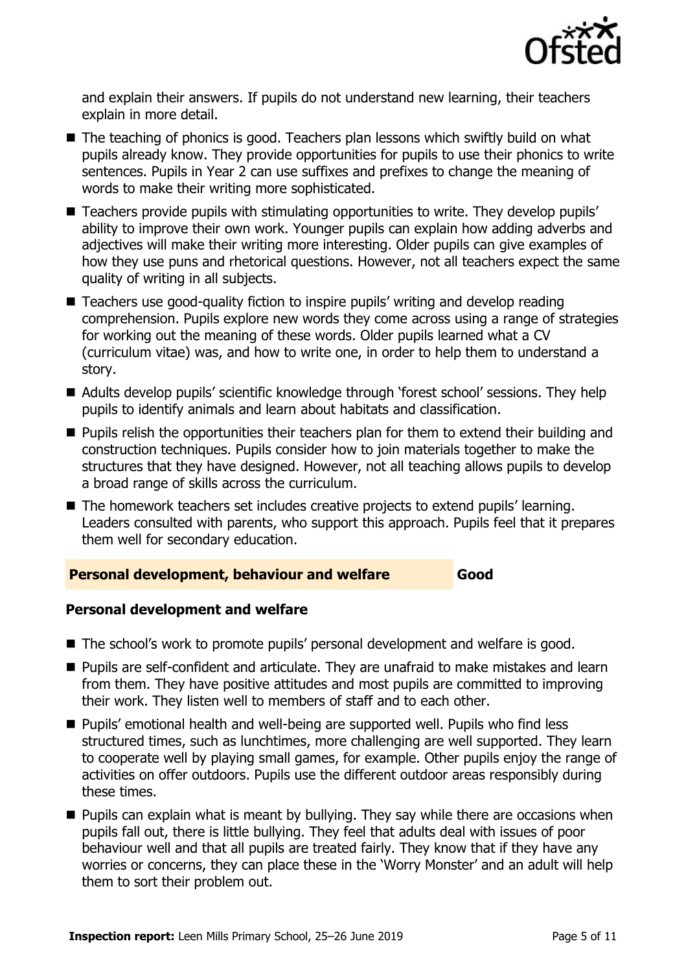

and explain their answers. If pupils do not understand new learning, their teachers explain in more detail.

- The teaching of phonics is good. Teachers plan lessons which swiftly build on what pupils already know. They provide opportunities for pupils to use their phonics to write sentences. Pupils in Year 2 can use suffixes and prefixes to change the meaning of words to make their writing more sophisticated.
- Teachers provide pupils with stimulating opportunities to write. They develop pupils' ability to improve their own work. Younger pupils can explain how adding adverbs and adjectives will make their writing more interesting. Older pupils can give examples of how they use puns and rhetorical questions. However, not all teachers expect the same quality of writing in all subjects.
- Teachers use good-quality fiction to inspire pupils' writing and develop reading comprehension. Pupils explore new words they come across using a range of strategies for working out the meaning of these words. Older pupils learned what a CV (curriculum vitae) was, and how to write one, in order to help them to understand a story.
- Adults develop pupils' scientific knowledge through 'forest school' sessions. They help pupils to identify animals and learn about habitats and classification.
- **Pupils relish the opportunities their teachers plan for them to extend their building and** construction techniques. Pupils consider how to join materials together to make the structures that they have designed. However, not all teaching allows pupils to develop a broad range of skills across the curriculum.
- The homework teachers set includes creative projects to extend pupils' learning. Leaders consulted with parents, who support this approach. Pupils feel that it prepares them well for secondary education.

### **Personal development, behaviour and welfare Good**

#### **Personal development and welfare**

- The school's work to promote pupils' personal development and welfare is good.
- **Pupils are self-confident and articulate. They are unafraid to make mistakes and learn** from them. They have positive attitudes and most pupils are committed to improving their work. They listen well to members of staff and to each other.
- Pupils' emotional health and well-being are supported well. Pupils who find less structured times, such as lunchtimes, more challenging are well supported. They learn to cooperate well by playing small games, for example. Other pupils enjoy the range of activities on offer outdoors. Pupils use the different outdoor areas responsibly during these times.
- **Pupils can explain what is meant by bullying. They say while there are occasions when** pupils fall out, there is little bullying. They feel that adults deal with issues of poor behaviour well and that all pupils are treated fairly. They know that if they have any worries or concerns, they can place these in the 'Worry Monster' and an adult will help them to sort their problem out.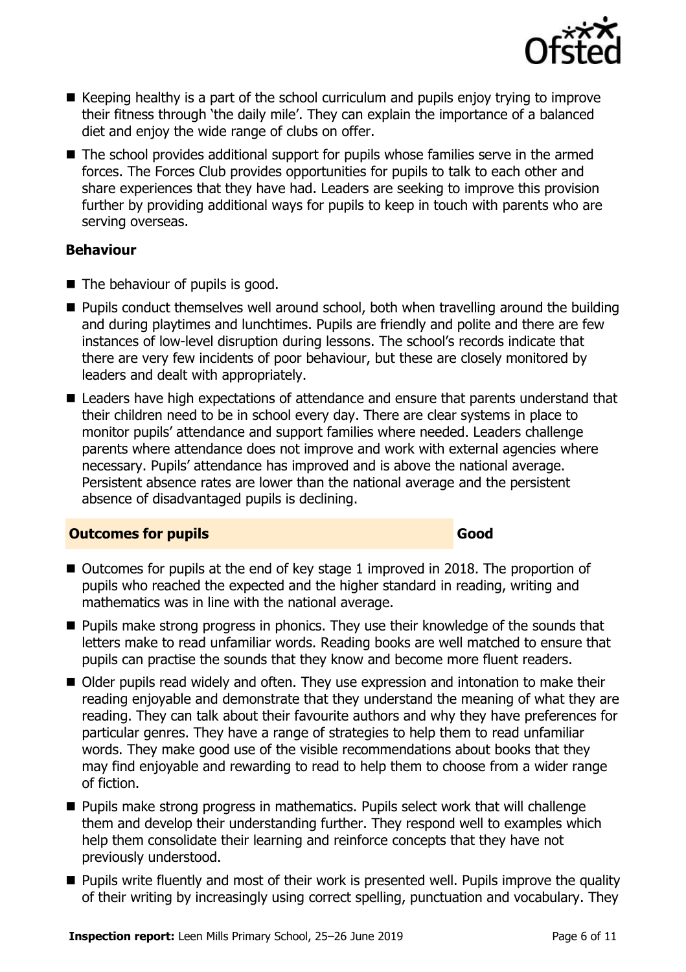

- $\blacksquare$  Keeping healthy is a part of the school curriculum and pupils enjoy trying to improve their fitness through 'the daily mile'. They can explain the importance of a balanced diet and enjoy the wide range of clubs on offer.
- The school provides additional support for pupils whose families serve in the armed forces. The Forces Club provides opportunities for pupils to talk to each other and share experiences that they have had. Leaders are seeking to improve this provision further by providing additional ways for pupils to keep in touch with parents who are serving overseas.

### **Behaviour**

- The behaviour of pupils is good.
- Pupils conduct themselves well around school, both when travelling around the building and during playtimes and lunchtimes. Pupils are friendly and polite and there are few instances of low-level disruption during lessons. The school's records indicate that there are very few incidents of poor behaviour, but these are closely monitored by leaders and dealt with appropriately.
- Leaders have high expectations of attendance and ensure that parents understand that their children need to be in school every day. There are clear systems in place to monitor pupils' attendance and support families where needed. Leaders challenge parents where attendance does not improve and work with external agencies where necessary. Pupils' attendance has improved and is above the national average. Persistent absence rates are lower than the national average and the persistent absence of disadvantaged pupils is declining.

### **Outcomes for pupils Good Good**

- Outcomes for pupils at the end of key stage 1 improved in 2018. The proportion of pupils who reached the expected and the higher standard in reading, writing and mathematics was in line with the national average.
- **Pupils make strong progress in phonics. They use their knowledge of the sounds that** letters make to read unfamiliar words. Reading books are well matched to ensure that pupils can practise the sounds that they know and become more fluent readers.
- Older pupils read widely and often. They use expression and intonation to make their reading enjoyable and demonstrate that they understand the meaning of what they are reading. They can talk about their favourite authors and why they have preferences for particular genres. They have a range of strategies to help them to read unfamiliar words. They make good use of the visible recommendations about books that they may find enjoyable and rewarding to read to help them to choose from a wider range of fiction.
- **Pupils make strong progress in mathematics. Pupils select work that will challenge** them and develop their understanding further. They respond well to examples which help them consolidate their learning and reinforce concepts that they have not previously understood.
- **Pupils write fluently and most of their work is presented well. Pupils improve the quality** of their writing by increasingly using correct spelling, punctuation and vocabulary. They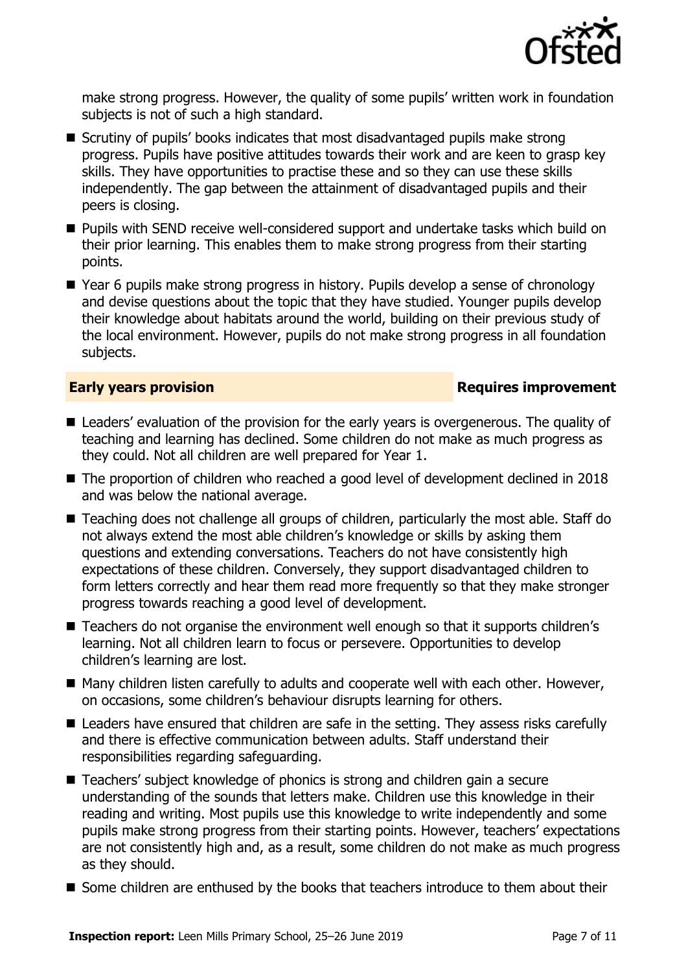

make strong progress. However, the quality of some pupils' written work in foundation subjects is not of such a high standard.

- Scrutiny of pupils' books indicates that most disadvantaged pupils make strong progress. Pupils have positive attitudes towards their work and are keen to grasp key skills. They have opportunities to practise these and so they can use these skills independently. The gap between the attainment of disadvantaged pupils and their peers is closing.
- Pupils with SEND receive well-considered support and undertake tasks which build on their prior learning. This enables them to make strong progress from their starting points.
- Year 6 pupils make strong progress in history. Pupils develop a sense of chronology and devise questions about the topic that they have studied. Younger pupils develop their knowledge about habitats around the world, building on their previous study of the local environment. However, pupils do not make strong progress in all foundation subjects.

#### **Early years provision Requires improvement**

- Leaders' evaluation of the provision for the early years is overgenerous. The quality of teaching and learning has declined. Some children do not make as much progress as they could. Not all children are well prepared for Year 1.
- The proportion of children who reached a good level of development declined in 2018 and was below the national average.
- Teaching does not challenge all groups of children, particularly the most able. Staff do not always extend the most able children's knowledge or skills by asking them questions and extending conversations. Teachers do not have consistently high expectations of these children. Conversely, they support disadvantaged children to form letters correctly and hear them read more frequently so that they make stronger progress towards reaching a good level of development.
- Teachers do not organise the environment well enough so that it supports children's learning. Not all children learn to focus or persevere. Opportunities to develop children's learning are lost.
- Many children listen carefully to adults and cooperate well with each other. However, on occasions, some children's behaviour disrupts learning for others.
- Leaders have ensured that children are safe in the setting. They assess risks carefully and there is effective communication between adults. Staff understand their responsibilities regarding safeguarding.
- Teachers' subject knowledge of phonics is strong and children gain a secure understanding of the sounds that letters make. Children use this knowledge in their reading and writing. Most pupils use this knowledge to write independently and some pupils make strong progress from their starting points. However, teachers' expectations are not consistently high and, as a result, some children do not make as much progress as they should.
- Some children are enthused by the books that teachers introduce to them about their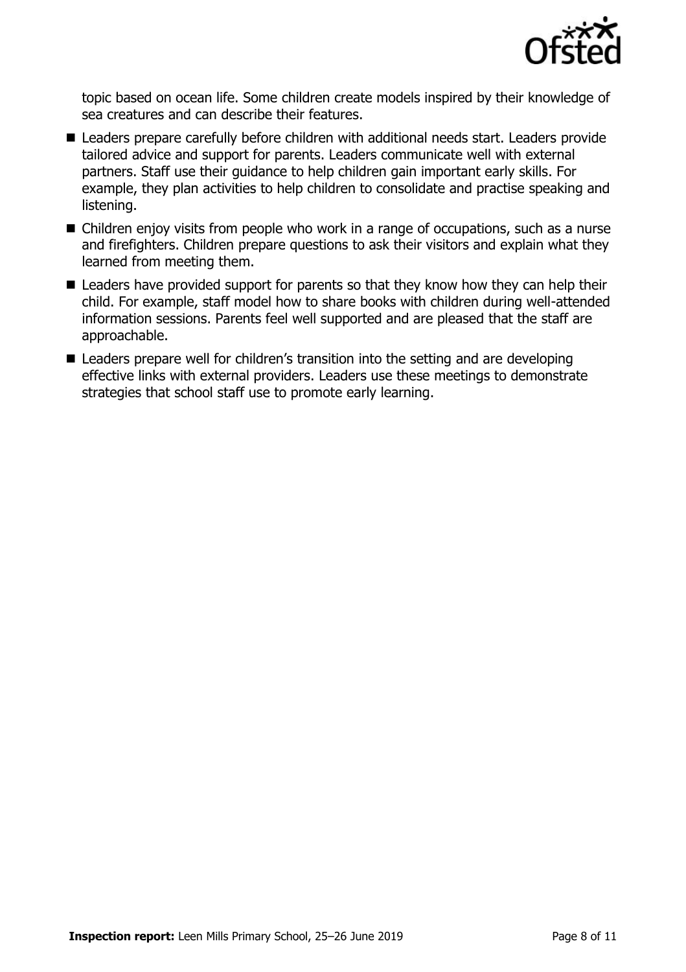

topic based on ocean life. Some children create models inspired by their knowledge of sea creatures and can describe their features.

- Leaders prepare carefully before children with additional needs start. Leaders provide tailored advice and support for parents. Leaders communicate well with external partners. Staff use their guidance to help children gain important early skills. For example, they plan activities to help children to consolidate and practise speaking and listening.
- Children enjoy visits from people who work in a range of occupations, such as a nurse and firefighters. Children prepare questions to ask their visitors and explain what they learned from meeting them.
- Leaders have provided support for parents so that they know how they can help their child. For example, staff model how to share books with children during well-attended information sessions. Parents feel well supported and are pleased that the staff are approachable.
- Leaders prepare well for children's transition into the setting and are developing effective links with external providers. Leaders use these meetings to demonstrate strategies that school staff use to promote early learning.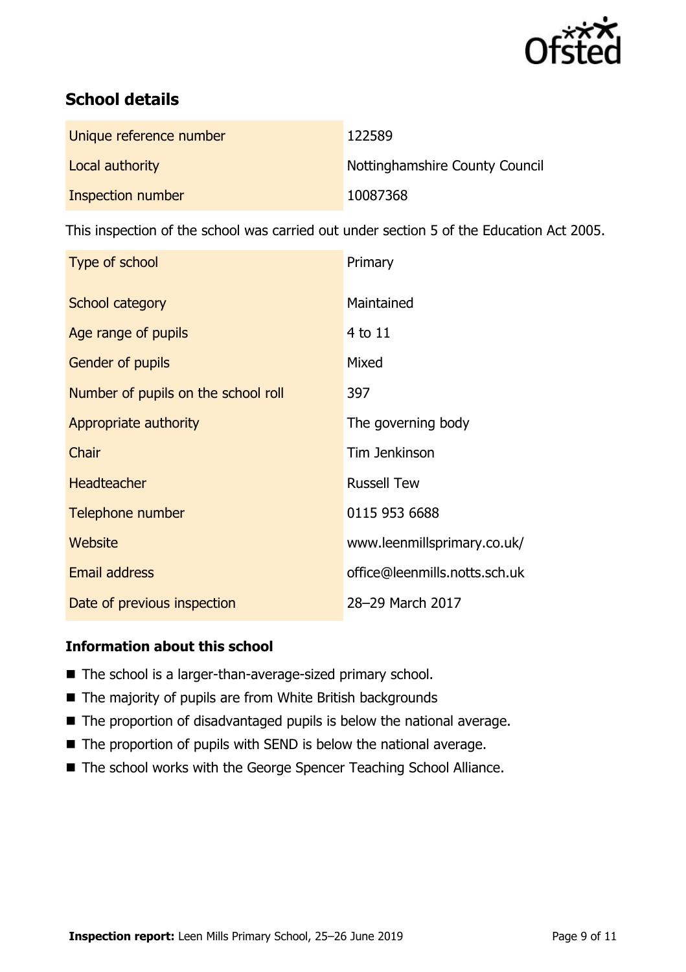

# **School details**

| Unique reference number | 122589                         |
|-------------------------|--------------------------------|
| Local authority         | Nottinghamshire County Council |
| Inspection number       | 10087368                       |

This inspection of the school was carried out under section 5 of the Education Act 2005.

| Type of school                      | Primary                       |
|-------------------------------------|-------------------------------|
| School category                     | Maintained                    |
| Age range of pupils                 | $4$ to $11$                   |
| <b>Gender of pupils</b>             | Mixed                         |
| Number of pupils on the school roll | 397                           |
| Appropriate authority               | The governing body            |
| Chair                               | Tim Jenkinson                 |
| <b>Headteacher</b>                  | <b>Russell Tew</b>            |
| Telephone number                    | 0115 953 6688                 |
| Website                             | www.leenmillsprimary.co.uk/   |
| <b>Email address</b>                | office@leenmills.notts.sch.uk |
| Date of previous inspection         | 28-29 March 2017              |

### **Information about this school**

- The school is a larger-than-average-sized primary school.
- The majority of pupils are from White British backgrounds
- The proportion of disadvantaged pupils is below the national average.
- The proportion of pupils with SEND is below the national average.
- The school works with the George Spencer Teaching School Alliance.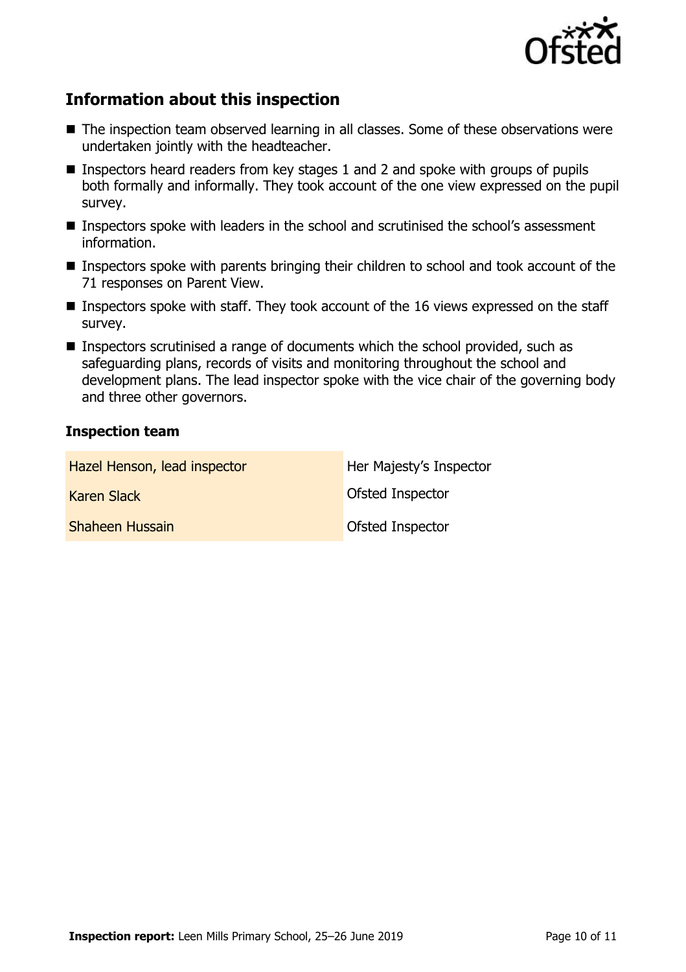

# **Information about this inspection**

- The inspection team observed learning in all classes. Some of these observations were undertaken jointly with the headteacher.
- **Inspectors heard readers from key stages 1 and 2 and spoke with groups of pupils** both formally and informally. They took account of the one view expressed on the pupil survey.
- Inspectors spoke with leaders in the school and scrutinised the school's assessment information.
- Inspectors spoke with parents bringing their children to school and took account of the 71 responses on Parent View.
- Inspectors spoke with staff. They took account of the 16 views expressed on the staff survey.
- Inspectors scrutinised a range of documents which the school provided, such as safeguarding plans, records of visits and monitoring throughout the school and development plans. The lead inspector spoke with the vice chair of the governing body and three other governors.

#### **Inspection team**

| Hazel Henson, lead inspector | Her Majesty's Inspector |
|------------------------------|-------------------------|
| Karen Slack                  | Ofsted Inspector        |
| <b>Shaheen Hussain</b>       | Ofsted Inspector        |